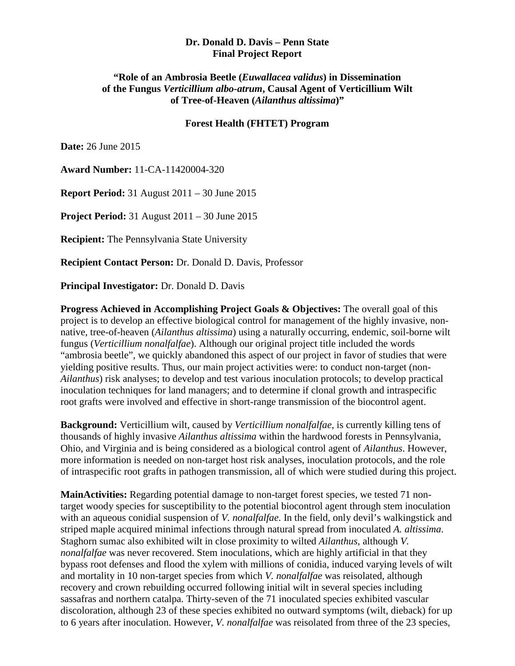## **Dr. Donald D. Davis – Penn State Final Project Report**

## **of the Fungus** *Verticillium albo-atrum***, Causal Agent of Verticillium Wilt "Role of an Ambrosia Beetle (***Euwallacea validus***) in Dissemination of Tree-of-Heaven (***Ailanthus altissima***)"**

## **Forest Health (FHTET) Program**

**Date:** 26 June 2015

**Award Number:** 11-CA-11420004-320

**Report Period:** 31 August 2011 – 30 June 2015

**Project Period:** 31 August 2011 – 30 June 2015

**Recipient:** The Pennsylvania State University

**Recipient Contact Person:** Dr. Donald D. Davis, Professor

**Principal Investigator:** Dr. Donald D. Davis

 **Progress Achieved in Accomplishing Project Goals & Objectives:** The overall goal of this native, tree-of-heaven (*Ailanthus altissima*) using a naturally occurring, endemic, soil-borne wilt yielding positive results. Thus, our main project activities were: to conduct non-target (nonproject is to develop an effective biological control for management of the highly invasive, nonfungus (*Verticillium nonalfalfae*). Although our original project title included the words "ambrosia beetle", we quickly abandoned this aspect of our project in favor of studies that were *Ailanthus*) risk analyses; to develop and test various inoculation protocols; to develop practical inoculation techniques for land managers; and to determine if clonal growth and intraspecific root grafts were involved and effective in short-range transmission of the biocontrol agent.

**Background:** Verticillium wilt, caused by *Verticillium nonalfalfae*, is currently killing tens of thousands of highly invasive *Ailanthus altissima* within the hardwood forests in Pennsylvania, Ohio, and Virginia and is being considered as a biological control agent of *Ailanthus*. However, more information is needed on non-target host risk analyses, inoculation protocols, and the role of intraspecific root grafts in pathogen transmission, all of which were studied during this project.

 Staghorn sumac also exhibited wilt in close proximity to wilted *Ailanthus*, although *V.*  **MainActivities:** Regarding potential damage to non-target forest species, we tested 71 nontarget woody species for susceptibility to the potential biocontrol agent through stem inoculation with an aqueous conidial suspension of *V. nonalfalfae*. In the field, only devil's walkingstick and striped maple acquired minimal infections through natural spread from inoculated *A. altissima*. *nonalfalfae* was never recovered. Stem inoculations, which are highly artificial in that they bypass root defenses and flood the xylem with millions of conidia, induced varying levels of wilt and mortality in 10 non-target species from which *V. nonalfalfae* was reisolated, although recovery and crown rebuilding occurred following initial wilt in several species including sassafras and northern catalpa. Thirty-seven of the 71 inoculated species exhibited vascular discoloration, although 23 of these species exhibited no outward symptoms (wilt, dieback) for up to 6 years after inoculation. However, *V. nonalfalfae* was reisolated from three of the 23 species,